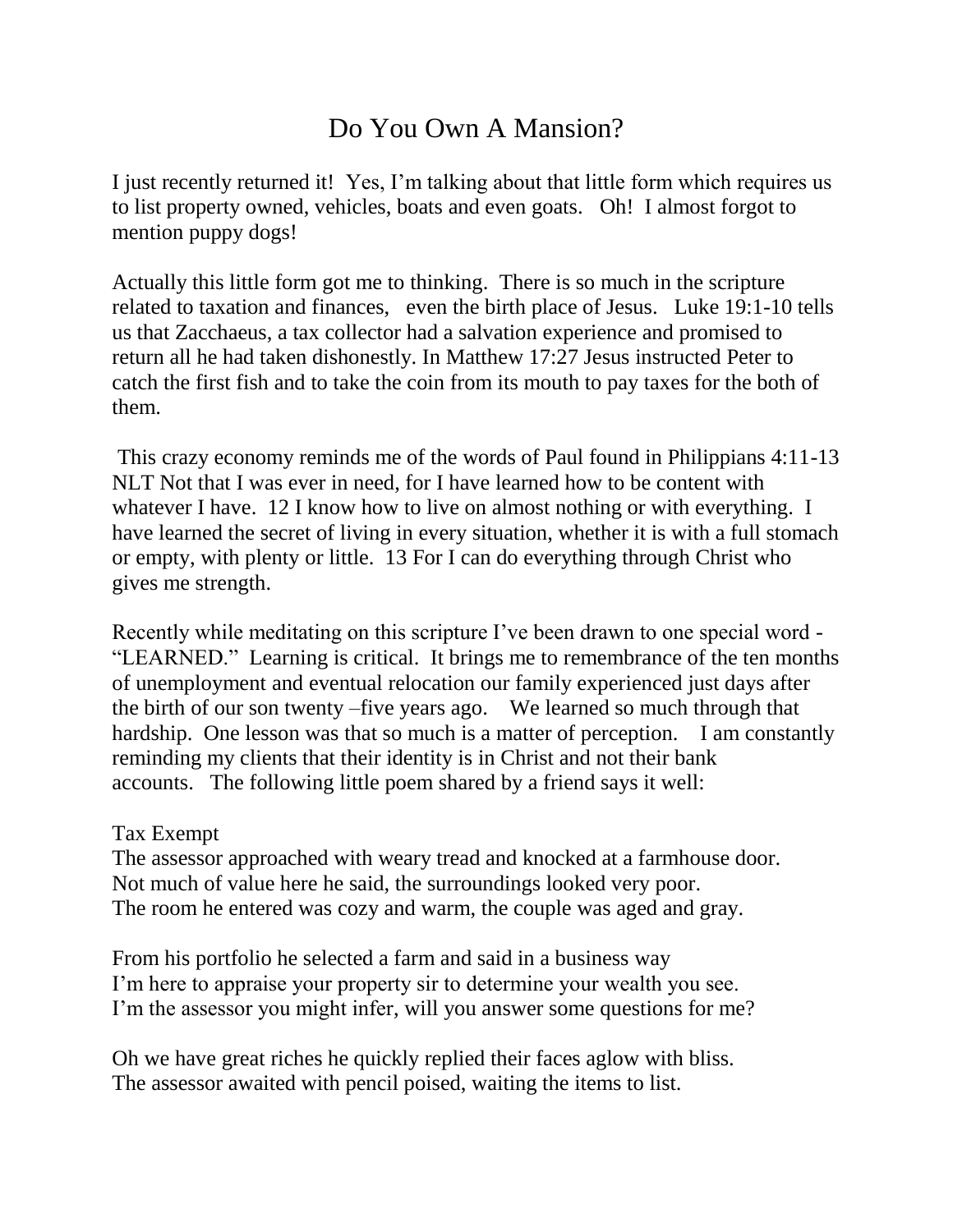## Do You Own A Mansion?

I just recently returned it! Yes, I'm talking about that little form which requires us to list property owned, vehicles, boats and even goats. Oh! I almost forgot to mention puppy dogs!

Actually this little form got me to thinking. There is so much in the scripture related to taxation and finances, even the birth place of Jesus. Luke 19:1-10 tells us that Zacchaeus, a tax collector had a salvation experience and promised to return all he had taken dishonestly. In Matthew 17:27 Jesus instructed Peter to catch the first fish and to take the coin from its mouth to pay taxes for the both of them.

This crazy economy reminds me of the words of Paul found in Philippians 4:11-13 NLT Not that I was ever in need, for I have learned how to be content with whatever I have. 12 I know how to live on almost nothing or with everything. I have learned the secret of living in every situation, whether it is with a full stomach or empty, with plenty or little. 13 For I can do everything through Christ who gives me strength.

Recently while meditating on this scripture I've been drawn to one special word - "LEARNED." Learning is critical. It brings me to remembrance of the ten months of unemployment and eventual relocation our family experienced just days after the birth of our son twenty –five years ago. We learned so much through that hardship. One lesson was that so much is a matter of perception. I am constantly reminding my clients that their identity is in Christ and not their bank accounts. The following little poem shared by a friend says it well:

## Tax Exempt

The assessor approached with weary tread and knocked at a farmhouse door. Not much of value here he said, the surroundings looked very poor. The room he entered was cozy and warm, the couple was aged and gray.

From his portfolio he selected a farm and said in a business way I'm here to appraise your property sir to determine your wealth you see. I'm the assessor you might infer, will you answer some questions for me?

Oh we have great riches he quickly replied their faces aglow with bliss. The assessor awaited with pencil poised, waiting the items to list.